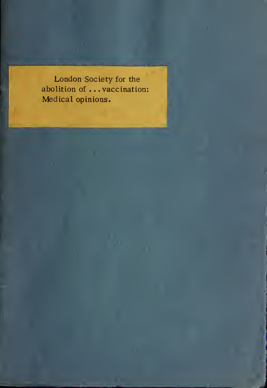London Society for the abolition of .. .vaccination: Medical opinions.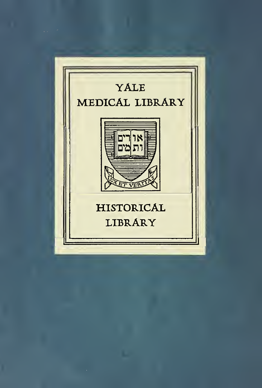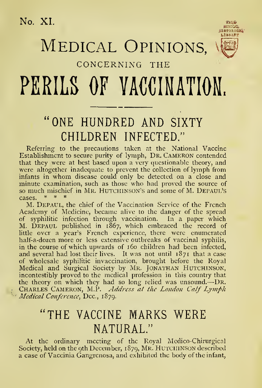No. XI.

## MEDICAL OPINIONS,



#### CONCERNING THE

# PERILS OF VACCINATION.

### "ONE HUNDRED AND SIXTY CHILDREN INFECTED."

Referring to the precautions taken at the National Vaccine Establishment to secure purity of lymph, Dr. Cameron contended that they were at best based upon a very questionable theory, and were altogether inadequate to prevent the collection of lymph from infants in whom disease could only be detected on a close and minute examination, such as those who had proved the source of so much mischief in Mr. HUTCHINSON'S and some of M. DEPAUL'S cases.  $* * * *$ 

M. Depaul, the chief of the Vaccination Service of the French Academy of Medicine, became alive to the danger of the spread of syphilitic infection through vaccination. In a paper which<br>M. DEPAUL published in 1867, which embraced the record of little over a year's French experience, there were enumerated half-a-dozen more or less extensive outbreaks of vaccinal syphilis, in the course of which upwards of 160 children had been infected, and several had lost their lives. It was not until 1871 that a case of wholesale syphilitic invaccination, brought before the Royal Medical and Surgical Society by Mr. Jonathan Hutchinson, incontestibly proved to the medical profession in this country that the theory on which they had so long relied was unsound.—DR. CHARLES CAMERON, M.P. Address at the London Calf Lymph Medical Conference, Dcc., 1879.

#### "THE VACCINE MARKS WERE NATURAL."

At the ordinary meeting of the Royal Medico-Chirurgical Society, held on the 9th December, 1879, MR. HUTCHINSON described a case of Vaccinia Gangrenosa, and exhibited the body of the infant,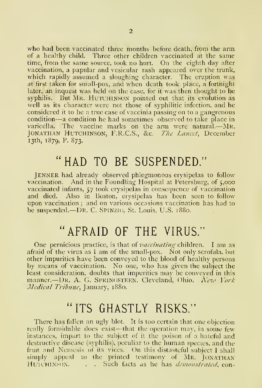who had been vaccinated three months before death, from the arm of a healthy child. Three other children vaccinated at the same time, from the same source, took no hurt. On the eighth day after vaccination, a papular and vesicular rash appeared over the trunk, which rapidly assumed a sloughing character. The eruption was at first taken for small-pox, and when death took place, a fortnight later, an inquest was held on the case, for it was then thought to be syphilis. But MR. HUTCHINSON pointed out that its evolution as well as its character were not those of syphilitic infection, and he considered it to be a true case of vaccinia passing on to a gangrenous condition—<sup>a</sup> condition he had sometimes observed to take place in varicella. The vaccine marks on the arm were natural.—Mr. — JONATHAN HUTCHINSON, F.R.C.S., &c. The Lancet, December 13th, 1S79, P. 873.

#### "HAD TO BE SUSPENDED."

JENNER had already observed phlegmonous erysipelas to follow vaccination. And in the Foundling Hospital at Petersburg, of 5,000 vaccinated infants, 57 took erysipelas in consequence of vaccination and died. Also in Boston, erysipelas has been seen to follow upon vaccination ; and on various occasions vaccination has had to be suspended. Dr. C. SPINZIG, St. Louis, U.S. 1880.

#### "AFRAID OF THE VIRUS."

One pernicious practice, is that of *vaccinating* children. I am as afraid of the virus as <sup>I</sup> am of the small-pox. Not only scrofula, but other impurities have been conveyed to the blood of healthy persons by means of vaccination. No one, who has given the subject the least consideration, doubts that impurities may be conveyed in this manner.—DR. A. G. SPRINGSTEEN, Cleveland, Ohio.  $Nca$  York Medical Tribune, January, 1880.

## "ITS GHASTLY RISKS."

There has fallen an ugly blot. It is too certain that one objection really formidable does exist—that the operation may, in some few instances, impart to the subject of it the poison of a hateful and destructive disease (syphilis), peculiar to the human species, and the fruit and Nemesis of its vices. On this distasteful subject <sup>1</sup> shall simply appeal to the printed testimony of Mr. JONATHAN HUTCHINSON. . . . Such facts as he has *demonstrated*, eon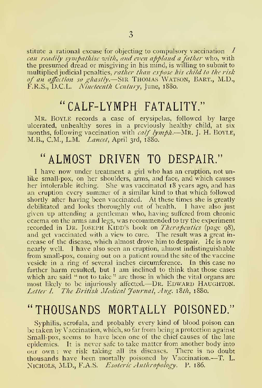stitute a rational excuse for objecting to compulsory vaccination  $\perp$ can readily sympathise with, and even applaud a father who, with the presumed dread or misgiving in his mind, is willing to submit to multiplied judicial penalties, rather than expose his child to the risk mutupned judicial penalues, *rainer than expose his chila to the risk*<br>of an affection so ghastly.—Sir Thomas Watson, Bart., M.D.,<br>F.R.S., D.C.L. *Nineteenth Century*, June, 1880.

#### " CALF-LYMPH FATALITY."

MR. Boyle records a case of erysipelas, followed by large ulcerated, unhealthy sores in a previously healthy child, at six months, following vaccination with *calf lymph*.—Mr. J. H. BOYLE, M.B., C.M., L.M. *Lancet*, April 3rd, 1880.

#### "ALMOST DRIVEN TO DESPAIR."

<sup>I</sup> have now under treatment a girl who has an eruption, not unlike small-pox, on her shoulders, arms, and face, and which causes her intolerable itching. She was vaccinated 18 years ago, and has an eruption every summer of a similar kind to that which followed shortly after having been vaccinated. At these times she is greatly debilitated and looks thoroughly out of health. <sup>1</sup> have also just given up attending a gentleman who, having suffered from chronic eczema on the arms and legs, was recommended to try the experiment recorded in DR. JOSEPH KIDD'S book on Therapeutics (page 98), and get vaccinated with a view to cure. The result was a great in crease of the disease, which almost drove him to despair. He is now nearly well. <sup>I</sup> have also seen an eruption, almost indistinguishable from small-pox, coming out on a patient round the site of the vaccine vesicle in a ring of several inches circumference. In this case no further harm resulted, but <sup>I</sup> am inclined to think that those cases which are said "not to take" are those in which the vital organs are most likely to be injuriously affected.—DR. EDWARD HAUGHTON. Letter I. The British Medical Journal, Aug. 18th, 1880.

#### "THOUSANDS MORTALLY POISONED."

Syphilis, scrofula, and probably every kind of blood poison can be taken by Vaccination, which, so far from being a protection against Small-pox, seems to have been one of the chief causes of the late epidemics. It is never safe to take matter from another body into our own : we risk taking all its diseases. There is no doubt thousands have been mortally poisoned by Vaccination.—T. L. NICHOLS, M.D., F.A.S. Esoteric Anthropology. P. 186.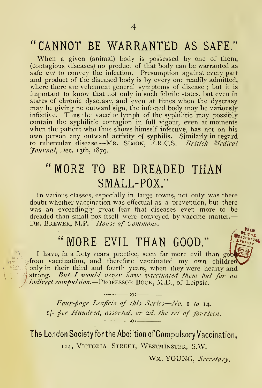#### "CANNOT BE WARRANTED AS SAFE."

When a given (animal) body is possessed by one of them, (contagious diseases) no product of that body can be warranted as safe not to convey the infection. Presumption against every part and product of the diseased body is by every one readily admitted, where there are vehement general symptoms of disease ; but it is important to know that not only in such febrile states, but even in states of chronic dyscrasy, and even at times when the dyscrasy may be giving no outward sign, the infected body may be variously infective. Thus the vaccine lymph of the syphilitic may possibly contain the syphilitic contagion in full vigour, even at moments when the patient who thus shows himself infective, has not on his own person any outward activity of syphilis. Similarly in regard to tubercular disease.—Mr. SIMON, F.R.C.S. *British Medical* Journal, Dec. 13th, 1879.

#### "MORE TO BE DREADED THAN SMALL-POX."

In various classes, especially in large towns, not only was there doubt whether vaccination was effectual as a prevention, but there was an exceedingly great fear that diseases even more to be dreaded than small-pox itself were conveyed by vaccine matter. DR. BREWER, M.P. House of Commons.

#### "MORE EVIL THAN GOOD."

I have, in a forty years practice, seen far more evil than good ofrom vaccination, and therefore vaccinated my own children only in their third and fourth years, when they were hearty and strong. But I would never have vaccinated them but for an indirect compulsion.—PROFESSOR BOCK, M.D., of Leipsic.

 $-101$ Four-page Leaflets of this Series—No. <sup>1</sup> to 14. 1/- per Hundred, assorted, or 2d. the set of fourteen.  $-10:-$ 

The London Society forthe Abolition of Compulsory Vaccination, 114, Victoria Street, Westminster, S.W.

WM. YOUNG, Secretary.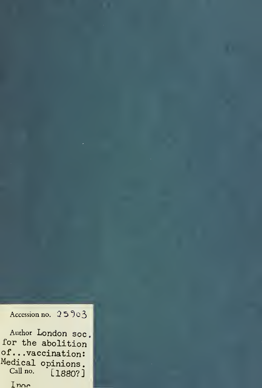Accession no.  $25903$ 

```
Author London soc
for the abolition
of. . .vaccination:
Medical opinions.
 Call no. [1880?]Inne
```